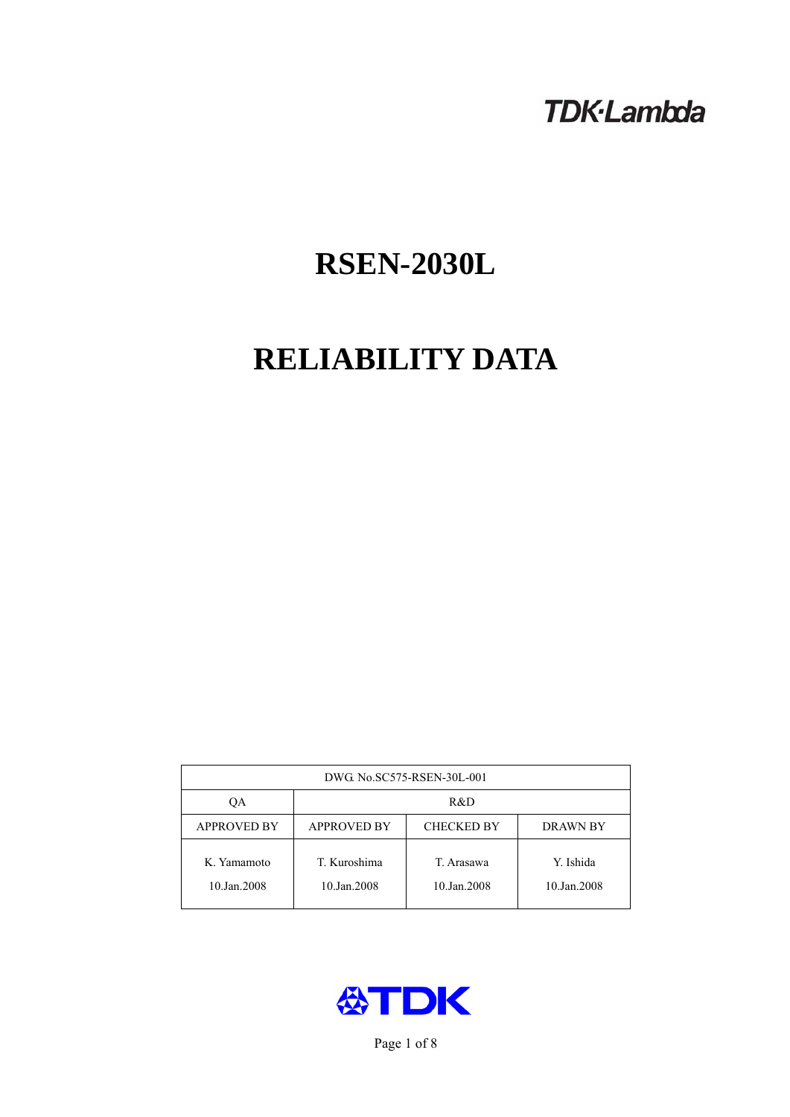# **TDK-Lambda**

# **RSEN-2030L**

# **RELIABILITY DATA**

| DWG No.SC575-RSEN-30L-001  |                                                     |                           |                          |  |  |
|----------------------------|-----------------------------------------------------|---------------------------|--------------------------|--|--|
| OА                         | R&D                                                 |                           |                          |  |  |
| <b>APPROVED BY</b>         | <b>APPROVED BY</b><br><b>CHECKED BY</b><br>DRAWN BY |                           |                          |  |  |
| K. Yamamoto<br>10.Jan.2008 | T. Kuroshima<br>10.Jan.2008                         | T. Arasawa<br>10.Jan.2008 | Y. Ishida<br>10.Jan.2008 |  |  |



Page 1 of 8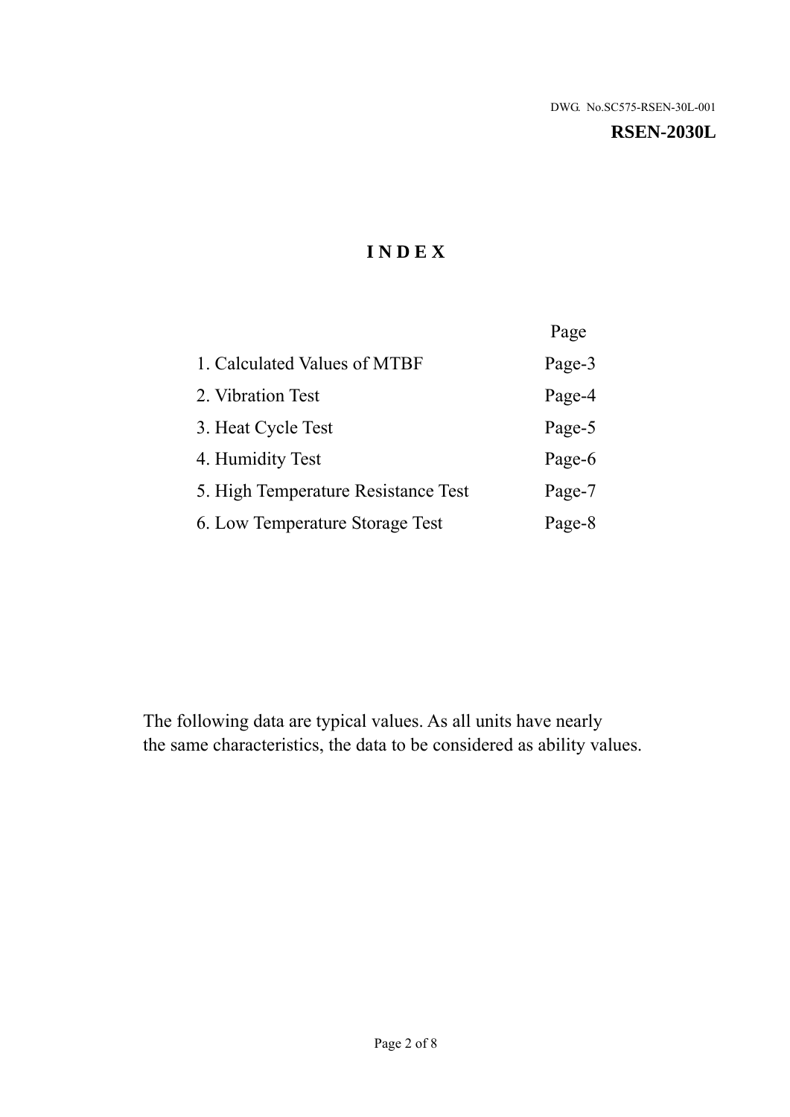#### **RSEN-2030L**

# **I N D E X**

|                                     | Page   |
|-------------------------------------|--------|
| 1. Calculated Values of MTBF        | Page-3 |
| 2. Vibration Test                   | Page-4 |
| 3. Heat Cycle Test                  | Page-5 |
| 4. Humidity Test                    | Page-6 |
| 5. High Temperature Resistance Test | Page-7 |
| 6. Low Temperature Storage Test     | Page-8 |

The following data are typical values. As all units have nearly the same characteristics, the data to be considered as ability values.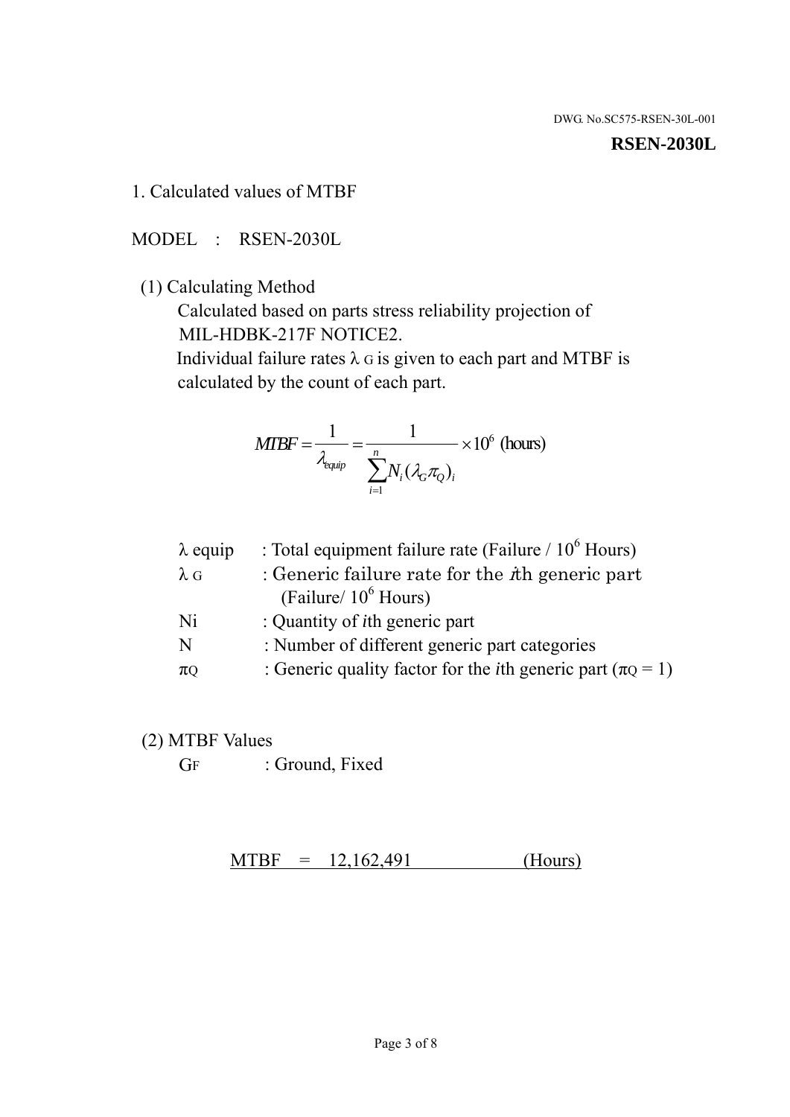#### **RSEN-2030L**

1. Calculated values of MTBF

MODEL : RSEN-2030L

(1) Calculating Method

 Calculated based on parts stress reliability projection of MIL-HDBK-217F NOTICE2.

Individual failure rates  $\lambda$  G is given to each part and MTBF is calculated by the count of each part.

$$
MIBF = \frac{1}{\lambda_{\text{equip}}} = \frac{1}{\sum_{i=1}^{n} N_i (\lambda_G \pi_Q)_i} \times 10^6 \text{ (hours)}
$$

| $\lambda$ equip | : Total equipment failure rate (Failure / $10^6$ Hours)                   |
|-----------------|---------------------------------------------------------------------------|
| $\lambda$ G     | : Generic failure rate for the $\hbar$ generic part                       |
|                 | (Failure/ $10^6$ Hours)                                                   |
| Ni              | : Quantity of <i>i</i> th generic part                                    |
| N               | : Number of different generic part categories                             |
| $\pi Q$         | : Generic quality factor for the <i>i</i> th generic part ( $\pi Q = 1$ ) |
|                 |                                                                           |

- (2) MTBF Values
	- GF : Ground, Fixed

 $MTBF = 12,162,491$  (Hours)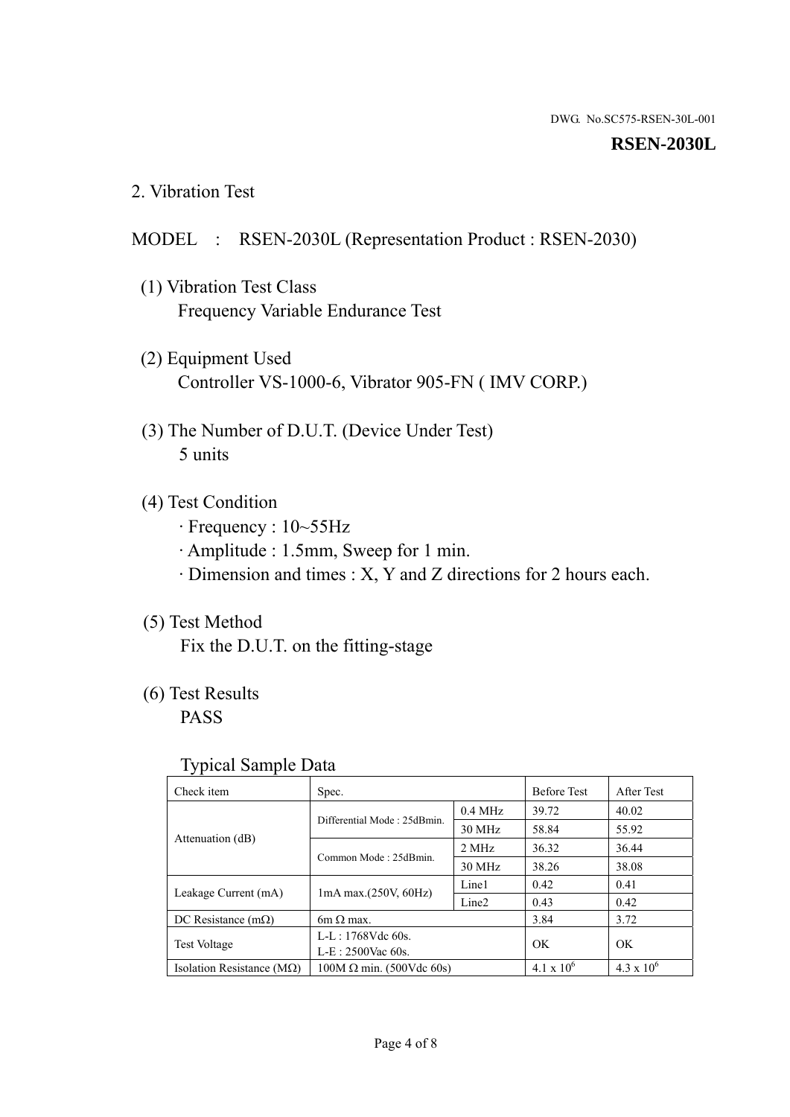#### **RSEN-2030L**

2. Vibration Test

#### MODEL : RSEN-2030L (Representation Product : RSEN-2030)

- (1) Vibration Test Class Frequency Variable Endurance Test
- (2) Equipment Used Controller VS-1000-6, Vibrator 905-FN ( IMV CORP.)
- (3) The Number of D.U.T. (Device Under Test) 5 units
- (4) Test Condition
	- · Frequency : 10~55Hz
	- · Amplitude : 1.5mm, Sweep for 1 min.
	- · Dimension and times : X, Y and Z directions for 2 hours each.

## (5) Test Method

Fix the D.U.T. on the fitting-stage

# (6) Test Results

PASS

#### Typical Sample Data

| ັ່                                 |                                                         |           |                     |                     |
|------------------------------------|---------------------------------------------------------|-----------|---------------------|---------------------|
| Check item                         | Spec.                                                   |           | <b>Before Test</b>  | After Test          |
|                                    | Differential Mode: 25dBmin.                             | $0.4$ MHz | 39.72               | 40.02               |
|                                    |                                                         | 30 MHz    | 58.84               | 55.92               |
| Attenuation (dB)                   | Common Mode: 25dBmin.                                   | 2 MHz     | 36.32               | 36.44               |
|                                    |                                                         | 30 MHz    | 38.26               | 38.08               |
| Leakage Current (mA)               | Line1<br>$1mA$ max. $(250V, 60Hz)$<br>Line <sub>2</sub> |           | 0.42                | 0.41                |
|                                    |                                                         | 0.43      | 0.42                |                     |
| DC Resistance $(m\Omega)$          | 6m $\Omega$ max.                                        |           | 3.84                | 3.72                |
| <b>Test Voltage</b>                | $L-L: 1768Vdc$ 60s.                                     |           | OK                  | OK.                 |
|                                    | $L-E: 2500$ Vac 60s.                                    |           |                     |                     |
| Isolation Resistance ( $M\Omega$ ) | $100M \Omega$ min. (500Vdc 60s)                         |           | $4.1 \times 10^{6}$ | $4.3 \times 10^{6}$ |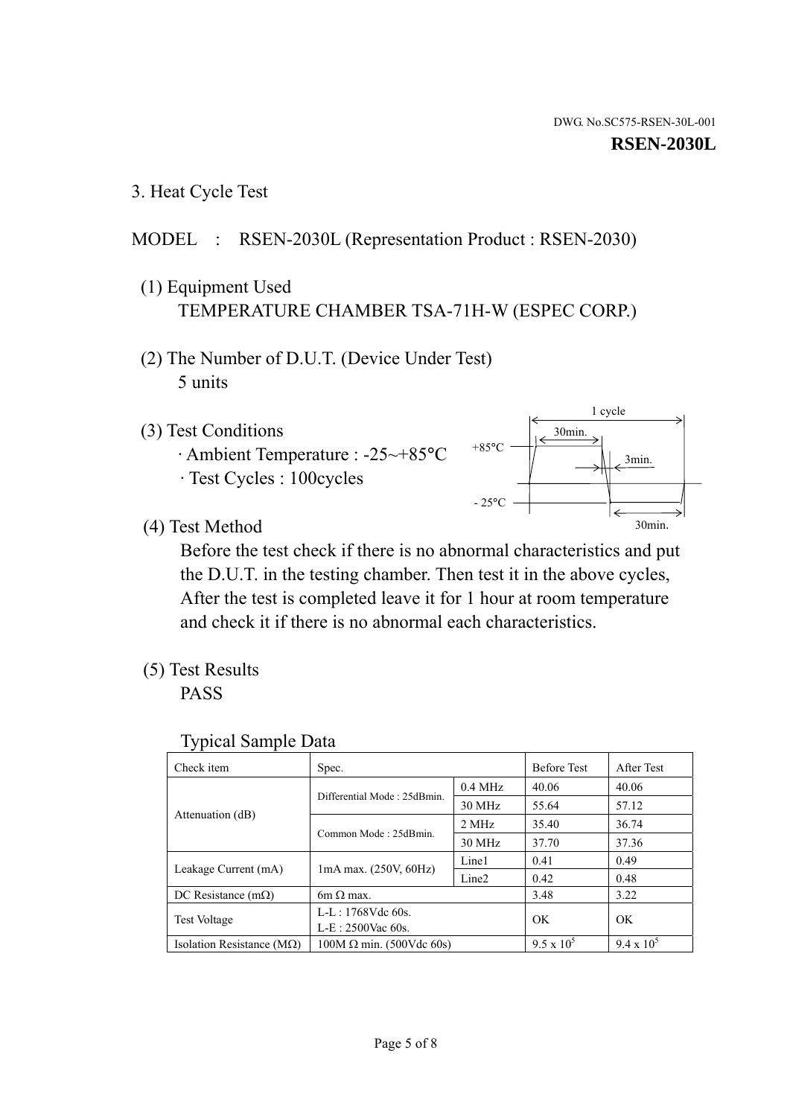1 cycle

30min.

3min.

30min.

3. Heat Cycle Test

## MODEL : RSEN-2030L (Representation Product : RSEN-2030)

- (1) Equipment Used TEMPERATURE CHAMBER TSA-71H-W (ESPEC CORP.)
- (2) The Number of D.U.T. (Device Under Test) 5 units
- (3) Test Conditions
	- · Ambient Temperature : -25~+85°C · Test Cycles : 100cycles
- (4) Test Method

 Before the test check if there is no abnormal characteristics and put the D.U.T. in the testing chamber. Then test it in the above cycles, After the test is completed leave it for 1 hour at room temperature and check it if there is no abnormal each characteristics.

 $+85$ °C

 $-25$ °C

(5) Test Results

PASS

| <b>Typical Sample Data</b> |  |  |
|----------------------------|--|--|
|----------------------------|--|--|

| Check item                         | Spec.                           |                   | <b>Before Test</b> | After Test        |
|------------------------------------|---------------------------------|-------------------|--------------------|-------------------|
|                                    |                                 | $0.4$ MHz         | 40.06              | 40.06             |
|                                    | Differential Mode: 25dBmin.     | 30 MHz            | 55.64              | 57.12             |
| Attenuation (dB)                   | Common Mode: 25dBmin.           | 2 MHz             | 35.40              | 36.74             |
|                                    |                                 | 30 MHz            | 37.70              | 37.36             |
| Leakage Current (mA)               | $1mA$ max. $(250V, 60Hz)$       | Line1             | 0.41               | 0.49              |
|                                    |                                 | Line <sub>2</sub> | 0.42               | 0.48              |
| DC Resistance $(m\Omega)$          | $6m \Omega$ max.                |                   | 3.48               | 3.22              |
| <b>Test Voltage</b>                | $L-L: 1768Vdc$ 60s.             |                   | OK                 | OK                |
|                                    | $L-E$ : 2500Vac 60s.            |                   |                    |                   |
| Isolation Resistance ( $M\Omega$ ) | $100M \Omega$ min. (500Vdc 60s) |                   | $9.5 \times 10^5$  | $9.4 \times 10^5$ |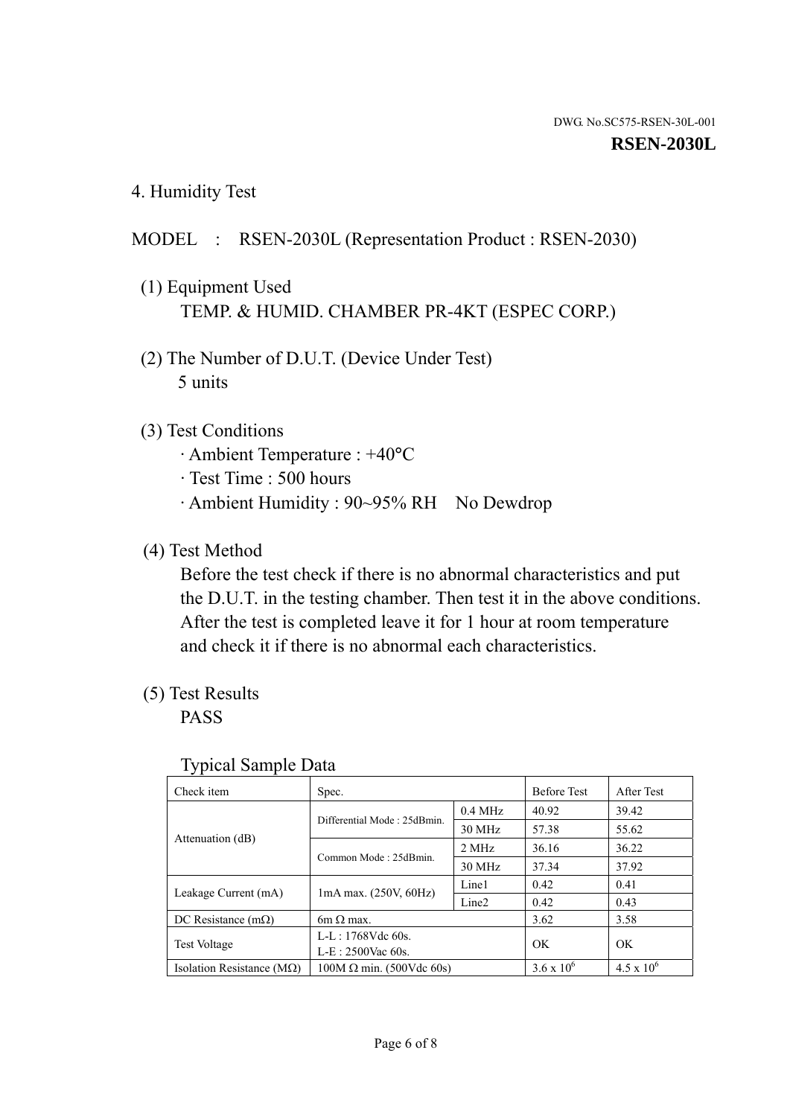4. Humidity Test

### MODEL : RSEN-2030L (Representation Product : RSEN-2030)

- (1) Equipment Used TEMP. & HUMID. CHAMBER PR-4KT (ESPEC CORP.)
- (2) The Number of D.U.T. (Device Under Test) 5 units

#### (3) Test Conditions

- · Ambient Temperature : +40°C
- · Test Time : 500 hours
- · Ambient Humidity : 90~95% RH No Dewdrop

### (4) Test Method

 Before the test check if there is no abnormal characteristics and put the D.U.T. in the testing chamber. Then test it in the above conditions. After the test is completed leave it for 1 hour at room temperature and check it if there is no abnormal each characteristics.

### (5) Test Results

PASS

| . .                                |                                 |                   |                     |                     |
|------------------------------------|---------------------------------|-------------------|---------------------|---------------------|
| Check item                         | Spec.                           |                   | <b>Before Test</b>  | After Test          |
| Attenuation (dB)                   | Differential Mode: 25dBmin.     | $0.4$ MHz         | 40.92               | 39.42               |
|                                    |                                 | 30 MHz            | 57.38               | 55.62               |
|                                    | Common Mode: 25dBmin.           | 2 MHz             | 36.16               | 36.22               |
|                                    |                                 | 30 MHz            | 37.34               | 37.92               |
| Leakage Current (mA)               | $1mA$ max. $(250V, 60Hz)$       | Line1             | 0.42                | 0.41                |
|                                    |                                 | Line <sub>2</sub> | 0.42                | 0.43                |
| DC Resistance $(m\Omega)$          | 6m $\Omega$ max.                |                   | 3.62                | 3.58                |
| <b>Test Voltage</b>                | $L-L: 1768Vdc$ 60s.             |                   | OK                  | OK                  |
|                                    | $L-E: 2500$ Vac 60s.            |                   |                     |                     |
| Isolation Resistance ( $M\Omega$ ) | $100M \Omega$ min. (500Vdc 60s) |                   | $3.6 \times 10^{6}$ | $4.5 \times 10^{6}$ |

#### Typical Sample Data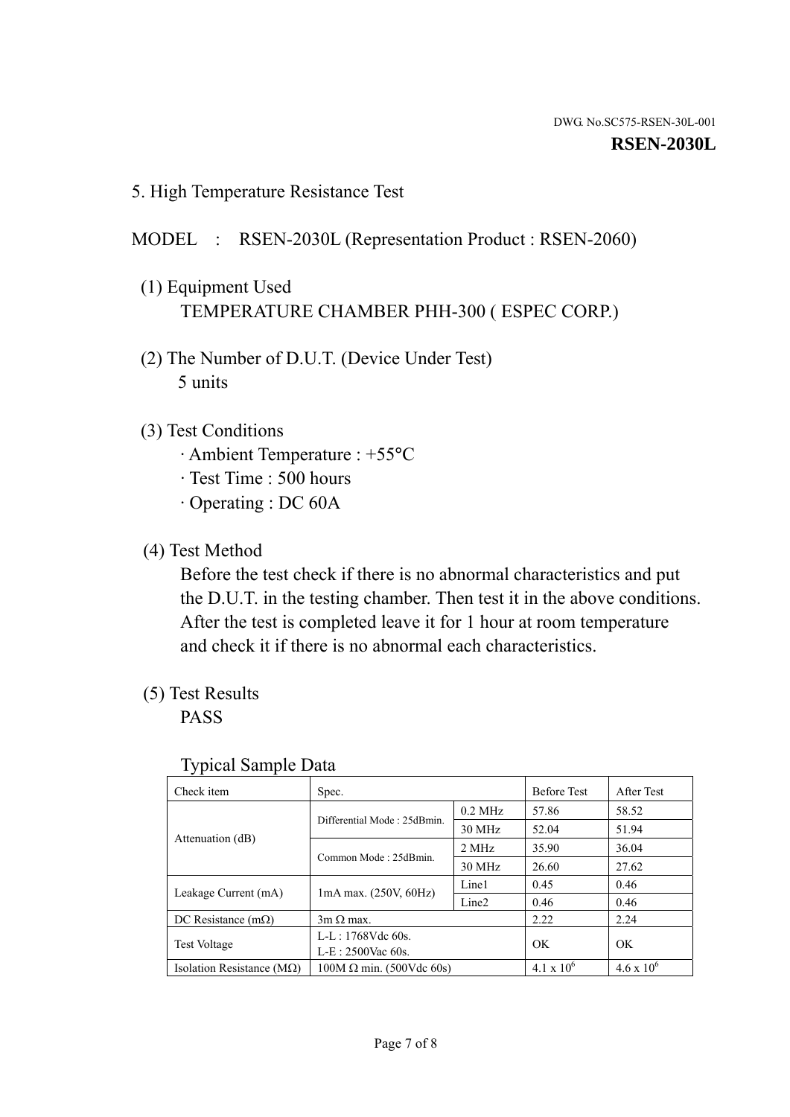5. High Temperature Resistance Test

## MODEL : RSEN-2030L (Representation Product : RSEN-2060)

- (1) Equipment Used TEMPERATURE CHAMBER PHH-300 ( ESPEC CORP.)
- (2) The Number of D.U.T. (Device Under Test) 5 units
- (3) Test Conditions
	- · Ambient Temperature : +55°C
	- · Test Time : 500 hours
	- · Operating : DC 60A
- (4) Test Method

 Before the test check if there is no abnormal characteristics and put the D.U.T. in the testing chamber. Then test it in the above conditions. After the test is completed leave it for 1 hour at room temperature and check it if there is no abnormal each characteristics.

(5) Test Results

PASS

| ┙┸                                 |                                 |                   |                     |                     |
|------------------------------------|---------------------------------|-------------------|---------------------|---------------------|
| Check item                         | Spec.                           |                   | <b>Before Test</b>  | After Test          |
|                                    | Differential Mode: 25dBmin.     | $0.2$ MHz         | 57.86               | 58.52               |
|                                    |                                 | 30 MHz            | 52.04               | 51.94               |
| Attenuation (dB)                   | Common Mode: 25dBmin.           | 2 MHz             | 35.90               | 36.04               |
|                                    |                                 | 30 MHz            | 26.60               | 27.62               |
| Leakage Current (mA)               | $1mA$ max. $(250V, 60Hz)$       | Line1             | 0.45                | 0.46                |
|                                    |                                 | Line <sub>2</sub> | 0.46                | 0.46                |
| DC Resistance $(m\Omega)$          | $3m \Omega$ max.                |                   | 2.22                | 2.24                |
| <b>Test Voltage</b>                | $L-L: 1768Vdc$ 60s.             |                   | OK                  | OK                  |
|                                    | $L-E: 2500$ Vac 60s.            |                   |                     |                     |
| Isolation Resistance ( $M\Omega$ ) | $100M \Omega$ min. (500Vdc 60s) |                   | $4.1 \times 10^{6}$ | $4.6 \times 10^{6}$ |

#### Typical Sample Data